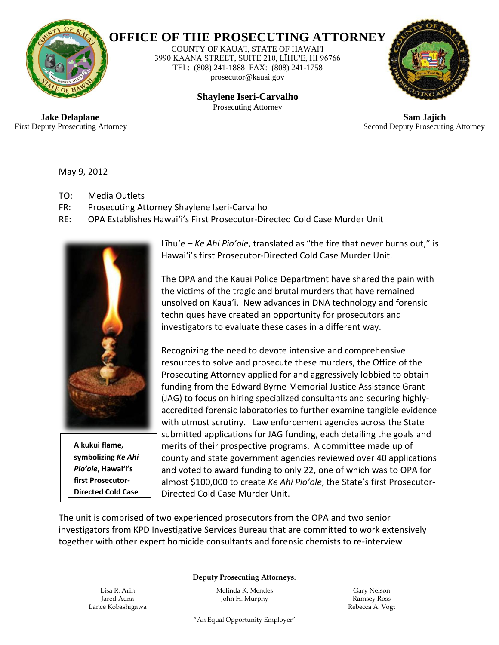

## **OFFICE OF THE PROSECUTING ATTORNEY**

COUNTY OF KAUA'I, STATE OF HAWAI'I 3990 KAANA STREET, SUITE 210, LĪHU'E, HI 96766 TEL: (808) 241-1888 FAX: (808) 241-1758 prosecutor@kauai.gov

> **Shaylene Iseri-Carvalho** Prosecuting Attorney



 **Jake Delaplane Sam Jajich** First Deputy Prosecuting Attorney Second Deputy Prosecuting Attorney

May 9, 2012

- TO: Media Outlets
- FR: Prosecuting Attorney Shaylene Iseri-Carvalho
- RE: OPA Establishes Hawai'i's First Prosecutor-Directed Cold Case Murder Unit



**A kukui flame, symbolizing** *Ke Ahi Pio'ole***, Hawai'i's first Prosecutor-Directed Cold Case** 

Līhu'e – *Ke Ahi Pio'ole*, translated as "the fire that never burns out," is Hawai'i's first Prosecutor-Directed Cold Case Murder Unit.

The OPA and the Kauai Police Department have shared the pain with the victims of the tragic and brutal murders that have remained unsolved on Kaua'i. New advances in DNA technology and forensic techniques have created an opportunity for prosecutors and investigators to evaluate these cases in a different way.

Recognizing the need to devote intensive and comprehensive resources to solve and prosecute these murders, the Office of the Prosecuting Attorney applied for and aggressively lobbied to obtain funding from the Edward Byrne Memorial Justice Assistance Grant (JAG) to focus on hiring specialized consultants and securing highlyaccredited forensic laboratories to further examine tangible evidence with utmost scrutiny. Law enforcement agencies across the State submitted applications for JAG funding, each detailing the goals and merits of their prospective programs. A committee made up of county and state government agencies reviewed over 40 applications and voted to award funding to only 22, one of which was to OPA for almost \$100,000 to create *Ke Ahi Pio'ole*, the State's first Prosecutor-Directed Cold Case Murder Unit.

The unit is comprised of two experienced prosecutors from the OPA and two senior investigators from KPD Investigative Services Bureau that are committed to work extensively together with other expert homicide consultants and forensic chemists to re-interview

 **Deputy Prosecuting Attorneys:**

Lance Kobashigawa Rebecca A. Vogt

Lisa R. Arin Melinda K. Mendes Gary Nelson Jared Auna **John H. Murphy Ramsey Ross** John H. Murphy